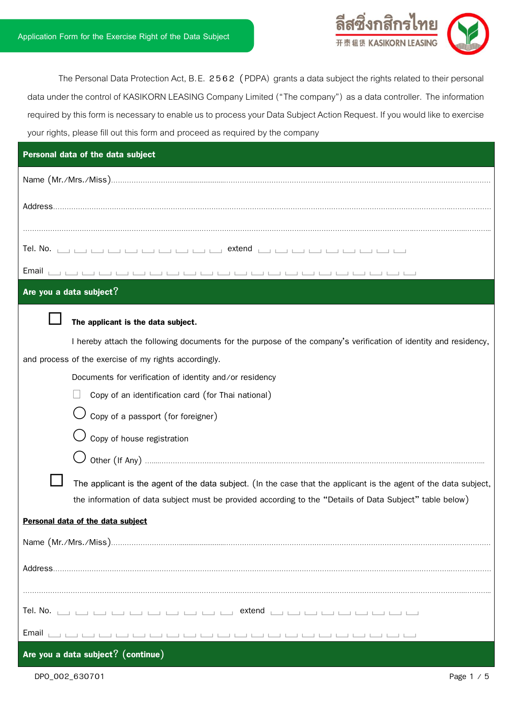

The Personal Data Protection Act, B.E. 2562 (PDPA) grants a data subject the rights related to their personal data under the control of KASIKORN LEASING Company Limited ("The company") as a data controller. The information required by this form is necessary to enable us to process your Data Subject Action Request. If you would like to exercise your rights, please fill out this form and proceed as required by the company

| Personal data of the data subject                                                                                 |  |  |  |  |
|-------------------------------------------------------------------------------------------------------------------|--|--|--|--|
|                                                                                                                   |  |  |  |  |
|                                                                                                                   |  |  |  |  |
|                                                                                                                   |  |  |  |  |
|                                                                                                                   |  |  |  |  |
|                                                                                                                   |  |  |  |  |
| Are you a data subject?                                                                                           |  |  |  |  |
| The applicant is the data subject.                                                                                |  |  |  |  |
| I hereby attach the following documents for the purpose of the company's verification of identity and residency,  |  |  |  |  |
| and process of the exercise of my rights accordingly.                                                             |  |  |  |  |
| Documents for verification of identity and/or residency                                                           |  |  |  |  |
| Copy of an identification card (for Thai national)                                                                |  |  |  |  |
| Copy of a passport (for foreigner)                                                                                |  |  |  |  |
| $\bigcup$ Copy of house registration                                                                              |  |  |  |  |
|                                                                                                                   |  |  |  |  |
| The applicant is the agent of the data subject. (In the case that the applicant is the agent of the data subject, |  |  |  |  |
| the information of data subject must be provided according to the "Details of Data Subject" table below)          |  |  |  |  |
| Personal data of the data subject                                                                                 |  |  |  |  |
|                                                                                                                   |  |  |  |  |
|                                                                                                                   |  |  |  |  |
|                                                                                                                   |  |  |  |  |
|                                                                                                                   |  |  |  |  |
| Email                                                                                                             |  |  |  |  |
| Are you a data subject? $($ continue)                                                                             |  |  |  |  |

DPO\_002\_630701 Page 1 / 5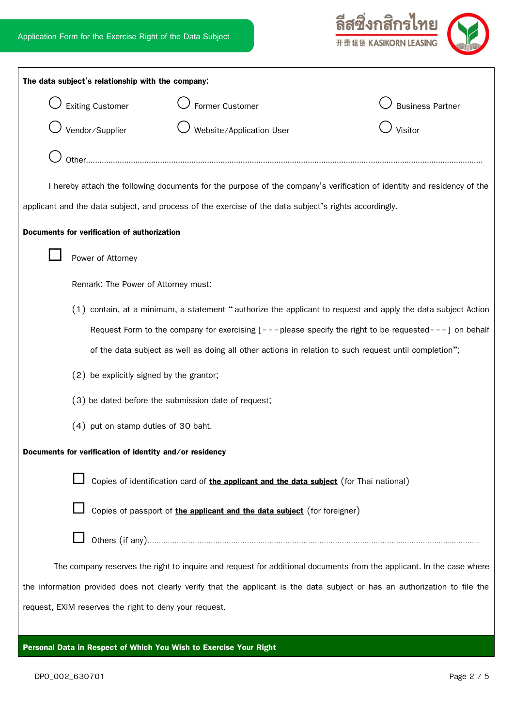

| The data subject's relationship with the company:                                                                           |                                                                                                              |                                                                                                                        |  |                         |  |
|-----------------------------------------------------------------------------------------------------------------------------|--------------------------------------------------------------------------------------------------------------|------------------------------------------------------------------------------------------------------------------------|--|-------------------------|--|
|                                                                                                                             | <b>Exiting Customer</b>                                                                                      | Former Customer                                                                                                        |  | <b>Business Partner</b> |  |
|                                                                                                                             | Vendor/Supplier                                                                                              | Website/Application User                                                                                               |  | Visitor                 |  |
|                                                                                                                             | Other                                                                                                        |                                                                                                                        |  |                         |  |
|                                                                                                                             |                                                                                                              | I hereby attach the following documents for the purpose of the company's verification of identity and residency of the |  |                         |  |
|                                                                                                                             |                                                                                                              | applicant and the data subject, and process of the exercise of the data subject's rights accordingly.                  |  |                         |  |
|                                                                                                                             | Documents for verification of authorization                                                                  |                                                                                                                        |  |                         |  |
|                                                                                                                             | Power of Attorney                                                                                            |                                                                                                                        |  |                         |  |
|                                                                                                                             | Remark: The Power of Attorney must:                                                                          |                                                                                                                        |  |                         |  |
|                                                                                                                             |                                                                                                              |                                                                                                                        |  |                         |  |
|                                                                                                                             | (1) contain, at a minimum, a statement "authorize the applicant to request and apply the data subject Action |                                                                                                                        |  |                         |  |
|                                                                                                                             |                                                                                                              | Request Form to the company for exercising $[- - -$ please specify the right to be requested- $- -$ ] on behalf        |  |                         |  |
|                                                                                                                             | of the data subject as well as doing all other actions in relation to such request until completion";        |                                                                                                                        |  |                         |  |
|                                                                                                                             | (2) be explicitly signed by the grantor;                                                                     |                                                                                                                        |  |                         |  |
|                                                                                                                             | (3) be dated before the submission date of request;                                                          |                                                                                                                        |  |                         |  |
| (4) put on stamp duties of 30 baht.                                                                                         |                                                                                                              |                                                                                                                        |  |                         |  |
| Documents for verification of identity and/or residency                                                                     |                                                                                                              |                                                                                                                        |  |                         |  |
|                                                                                                                             |                                                                                                              | Copies of identification card of the applicant and the data subject (for Thai national)                                |  |                         |  |
|                                                                                                                             |                                                                                                              | Copies of passport of the applicant and the data subject (for foreigner)                                               |  |                         |  |
|                                                                                                                             |                                                                                                              |                                                                                                                        |  |                         |  |
| The company reserves the right to inquire and request for additional documents from the applicant. In the case where        |                                                                                                              |                                                                                                                        |  |                         |  |
| the information provided does not clearly verify that the applicant is the data subject or has an authorization to file the |                                                                                                              |                                                                                                                        |  |                         |  |
|                                                                                                                             | request, EXIM reserves the right to deny your request.                                                       |                                                                                                                        |  |                         |  |
|                                                                                                                             |                                                                                                              |                                                                                                                        |  |                         |  |

**Personal Data in Respect of Which You Wish to Exercise Your Right**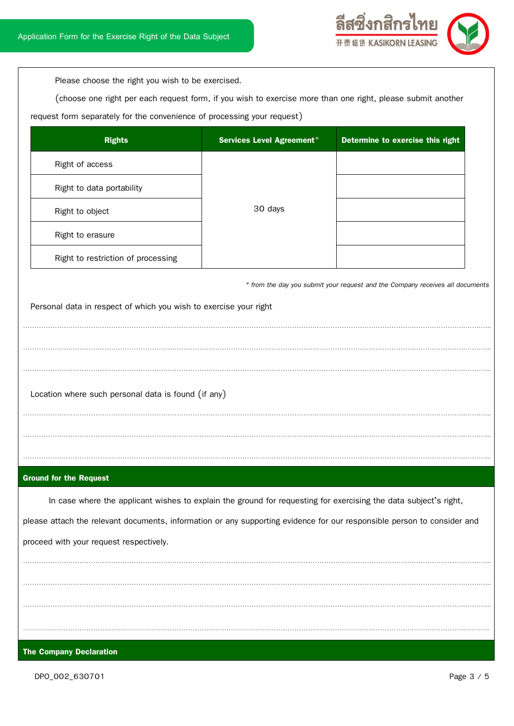

Please choose the right you wish to be exercised.

(choose one right per each request form, if you wish to exercise more than one right, please submit another

request form separately for the convenience of processing your request)

| <b>Rights</b>                      | Services Level Agreement* | Determine to exercise this right |
|------------------------------------|---------------------------|----------------------------------|
| Right of access                    |                           |                                  |
| Right to data portability          |                           |                                  |
| Right to object                    | 30 days                   |                                  |
| Right to erasure                   |                           |                                  |
| Right to restriction of processing |                           |                                  |

………………………………………………………………………………………………………………………………………………………..…………………..………...

………………………………………………………………………………………………………………………………………………………..…………………..………...

………………………………………………………………………………………………………………………………………………………..…………………..………...

………………………………………………………………………………………………………………………………………………………..…………………..………...

………………………………………………………………………………………………………………………………………………………..…………………..………...

………………………………………………………………………………………………………………………………………………………..…………………..………...

 *\* from the day you submit your request and the Company receives all documents*

Personal data in respect of which you wish to exercise your right

Location where such personal data is found (if any)

### **Ground for the Request**

In case where the applicant wishes to explain the ground for requesting for exercising the data subject's right, please attach the relevant documents, information or any supporting evidence for our responsible person to consider and proceed with your request respectively. ………………………………………………………………………………………………………………………………………………………..…………………..………...

………………………………………………………………………………………………………………………………………………………..…………………..………...

………………………………………………………………………………………………………………………………………………………..…………………..………...

………………………………………………………………………………………………………………………………………………………..…………………..………..

### **The Company Declaration**

DPO\_002\_630701 Page 3 / 5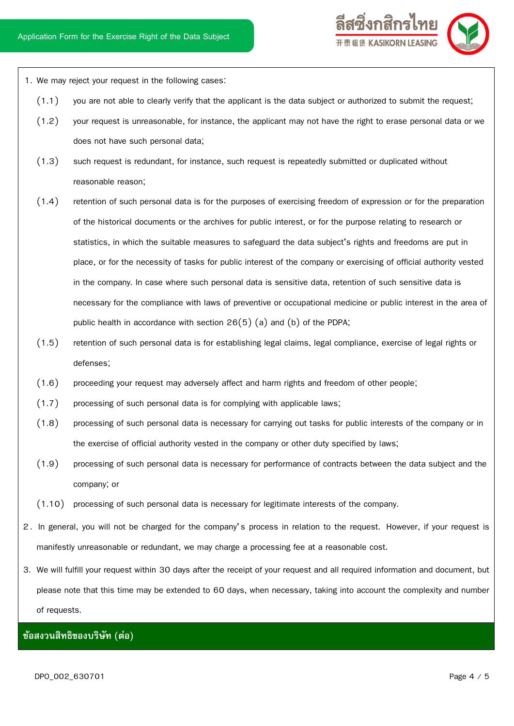

- 1. We may reject your request in the following cases:
	- (1.1) you are not able to clearly verify that the applicant is the data subject or authorized to submit the request;
	- (1.2) your request is unreasonable, for instance, the applicant may not have the right to erase personal data or we does not have such personal data;
	- (1.3) such request is redundant, for instance, such request is repeatedly submitted or duplicated without reasonable reason;
	- (1.4) retention of such personal data is for the purposes of exercising freedom of expression or for the preparation of the historical documents or the archives for public interest, or for the purpose relating to research or statistics, in which the suitable measures to safeguard the data subject's rights and freedoms are put in place, or for the necessity of tasks for public interest of the company or exercising of official authority vested in the company. In case where such personal data is sensitive data, retention of such sensitive data is necessary for the compliance with laws of preventive or occupational medicine or public interest in the area of public health in accordance with section  $26(5)$  (a) and (b) of the PDPA;
	- (1.5) retention of such personal data is for establishing legal claims, legal compliance, exercise of legal rights or defenses;
	- (1.6) proceeding your request may adversely affect and harm rights and freedom of other people;
	- $(1.7)$  processing of such personal data is for complying with applicable laws;
	- (1.8) processing of such personal data is necessary for carrying out tasks for public interests of the company or in the exercise of official authority vested in the company or other duty specified by laws;
	- (1.9) processing of such personal data is necessary for performance of contracts between the data subject and the company; or
	- (1.10) processing of such personal data is necessary for legitimate interests of the company.
- 2 . In general, you will not be charged for the company's process in relation to the request. However, if your request is manifestly unreasonable or redundant, we may charge a processing fee at a reasonable cost.
- 3. We will fulfill your request within 30 days after the receipt of your request and all required information and document, but please note that this time may be extended to 60 days, when necessary, taking into account the complexity and number of requests.

# **ข้อสงวนสิทธิของบริษัท (ต่อ)**